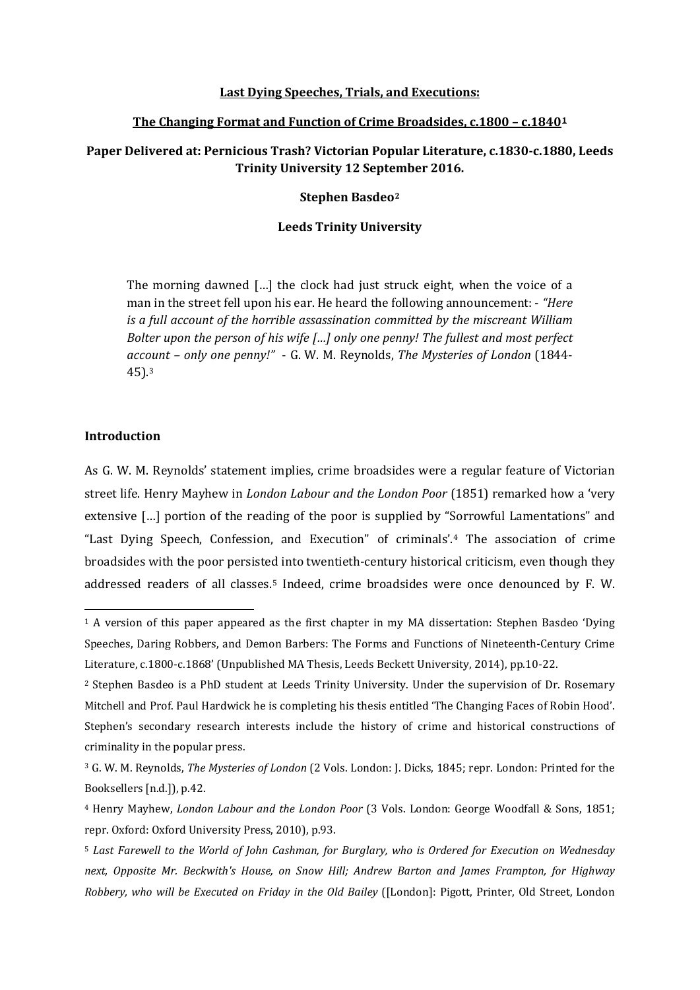### **Last Dying Speeches, Trials, and Executions:**

### **The Changing Format and Function of Crime Broadsides, c.1800 – c.1840[1](#page-0-0)**

# **Paper Delivered at: Pernicious Trash? Victorian Popular Literature, c.1830-c.1880, Leeds Trinity University 12 September 2016.**

### **Stephen Basdeo[2](#page-0-1)**

### **Leeds Trinity University**

The morning dawned […] the clock had just struck eight, when the voice of a man in the street fell upon his ear. He heard the following announcement: - *"Here is a full account of the horrible assassination committed by the miscreant William Bolter upon the person of his wife […] only one penny! The fullest and most perfect account – only one penny!"* - G. W. M. Reynolds, *The Mysteries of London* (1844- 45).[3](#page-0-2)

# **Introduction**

**.** 

As G. W. M. Reynolds' statement implies, crime broadsides were a regular feature of Victorian street life. Henry Mayhew in *London Labour and the London Poor* (1851) remarked how a 'very extensive […] portion of the reading of the poor is supplied by "Sorrowful Lamentations" and "Last Dying Speech, Confession, and Execution" of criminals'.[4](#page-0-3) The association of crime broadsides with the poor persisted into twentieth-century historical criticism, even though they addressed readers of all classes.[5](#page-0-4) Indeed, crime broadsides were once denounced by F. W.

<span id="page-0-0"></span><sup>&</sup>lt;sup>1</sup> A version of this paper appeared as the first chapter in my MA dissertation: Stephen Basdeo 'Dying Speeches, Daring Robbers, and Demon Barbers: The Forms and Functions of Nineteenth-Century Crime Literature, c.1800-c.1868' (Unpublished MA Thesis, Leeds Beckett University, 2014), pp.10-22.

<span id="page-0-1"></span><sup>2</sup> Stephen Basdeo is a PhD student at Leeds Trinity University. Under the supervision of Dr. Rosemary Mitchell and Prof. Paul Hardwick he is completing his thesis entitled 'The Changing Faces of Robin Hood'. Stephen's secondary research interests include the history of crime and historical constructions of criminality in the popular press.

<span id="page-0-2"></span><sup>3</sup> G. W. M. Reynolds, *The Mysteries of London* (2 Vols. London: J. Dicks, 1845; repr. London: Printed for the Booksellers [n.d.]), p.42.

<span id="page-0-3"></span><sup>4</sup> Henry Mayhew, *London Labour and the London Poor* (3 Vols. London: George Woodfall & Sons, 1851; repr. Oxford: Oxford University Press, 2010), p.93.

<span id="page-0-4"></span><sup>5</sup> *Last Farewell to the World of John Cashman, for Burglary, who is Ordered for Execution on Wednesday next, Opposite Mr. Beckwith's House, on Snow Hill; Andrew Barton and James Frampton, for Highway Robbery, who will be Executed on Friday in the Old Bailey* ([London]: Pigott, Printer, Old Street, London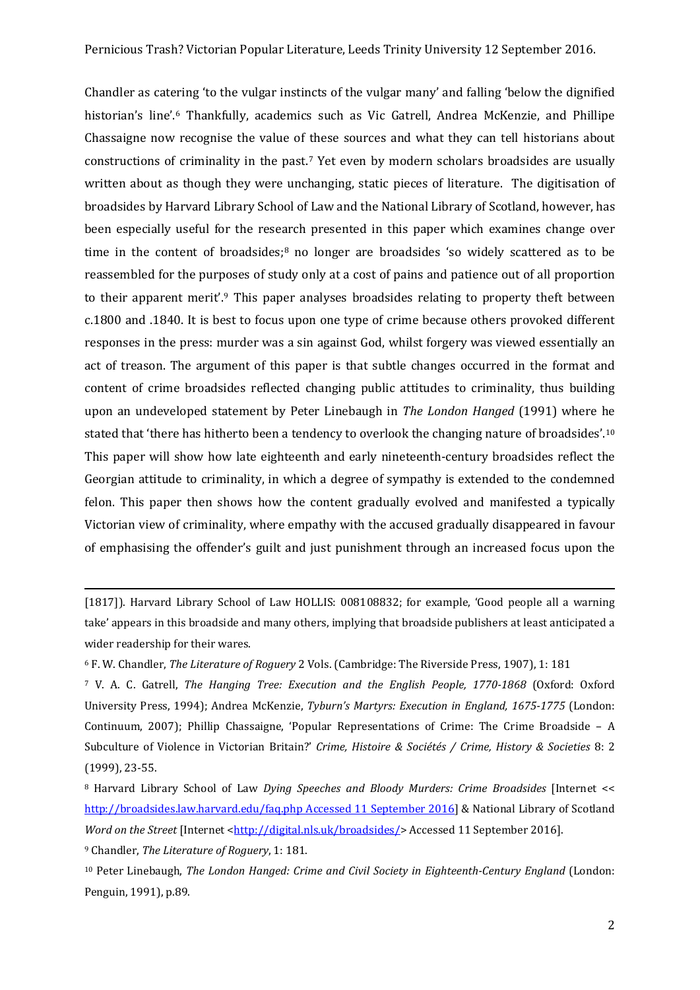Chandler as catering 'to the vulgar instincts of the vulgar many' and falling 'below the dignified historian's line'.[6](#page-1-0) Thankfully, academics such as Vic Gatrell, Andrea McKenzie, and Phillipe Chassaigne now recognise the value of these sources and what they can tell historians about constructions of criminality in the past.[7](#page-1-1) Yet even by modern scholars broadsides are usually written about as though they were unchanging, static pieces of literature. The digitisation of broadsides by Harvard Library School of Law and the National Library of Scotland, however, has been especially useful for the research presented in this paper which examines change over time in the content of broadsides; $8$  no longer are broadsides 'so widely scattered as to be reassembled for the purposes of study only at a cost of pains and patience out of all proportion to their apparent merit'.[9](#page-1-3) This paper analyses broadsides relating to property theft between c.1800 and .1840. It is best to focus upon one type of crime because others provoked different responses in the press: murder was a sin against God, whilst forgery was viewed essentially an act of treason. The argument of this paper is that subtle changes occurred in the format and content of crime broadsides reflected changing public attitudes to criminality, thus building upon an undeveloped statement by Peter Linebaugh in *The London Hanged* (1991) where he stated that 'there has hitherto been a tendency to overlook the changing nature of broadsides'.<sup>[10](#page-1-4)</sup> This paper will show how late eighteenth and early nineteenth-century broadsides reflect the Georgian attitude to criminality, in which a degree of sympathy is extended to the condemned felon. This paper then shows how the content gradually evolved and manifested a typically Victorian view of criminality, where empathy with the accused gradually disappeared in favour of emphasising the offender's guilt and just punishment through an increased focus upon the

<span id="page-1-1"></span><sup>7</sup> V. A. C. Gatrell, *The Hanging Tree: Execution and the English People, 1770-1868* (Oxford: Oxford University Press, 1994); Andrea McKenzie, *Tyburn's Martyrs: Execution in England, 1675-1775* (London: Continuum, 2007); Phillip Chassaigne, 'Popular Representations of Crime: The Crime Broadside – A Subculture of Violence in Victorian Britain?' *Crime, Histoire & Sociétés / Crime, History & Societies* 8: 2 (1999), 23-55.

 $\overline{a}$ 

<sup>[1817]).</sup> Harvard Library School of Law HOLLIS: 008108832; for example, 'Good people all a warning take' appears in this broadside and many others, implying that broadside publishers at least anticipated a wider readership for their wares.

<span id="page-1-0"></span><sup>6</sup> F. W. Chandler, *The Literature of Roguery* 2 Vols. (Cambridge: The Riverside Press, 1907), 1: 181

<span id="page-1-2"></span><sup>8</sup> Harvard Library School of Law *Dying Speeches and Bloody Murders: Crime Broadsides* [Internet << [http://broadsides.law.harvard.edu/faq.php Accessed 11 September 2016\]](http://broadsides.law.harvard.edu/faq.php%20Accessed%2011%20September%202016) & National Library of Scotland *Word on the Street* [Internet [<http://digital.nls.uk/broadsides/>](http://digital.nls.uk/broadsides/)Accessed 11 September 2016].

<span id="page-1-3"></span><sup>9</sup> Chandler, *The Literature of Roguery*, 1: 181.

<span id="page-1-4"></span><sup>10</sup> Peter Linebaugh, *The London Hanged: Crime and Civil Society in Eighteenth-Century England* (London: Penguin, 1991), p.89.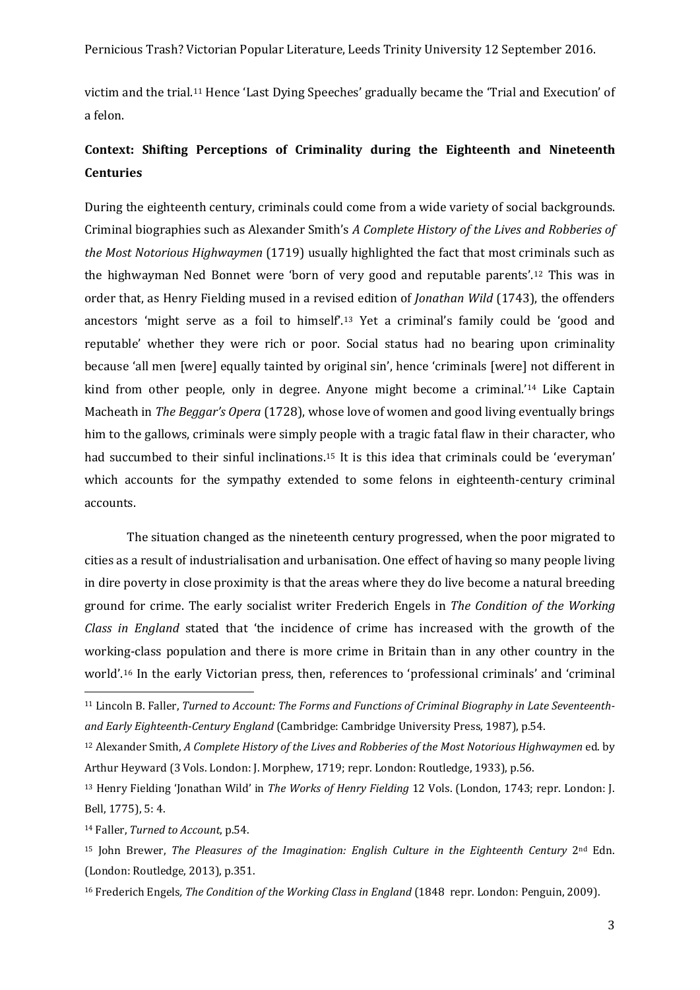Pernicious Trash? Victorian Popular Literature, Leeds Trinity University 12 September 2016.

victim and the trial.[11](#page-2-0) Hence 'Last Dying Speeches' gradually became the 'Trial and Execution' of a felon.

# **Context: Shifting Perceptions of Criminality during the Eighteenth and Nineteenth Centuries**

During the eighteenth century, criminals could come from a wide variety of social backgrounds. Criminal biographies such as Alexander Smith's *A Complete History of the Lives and Robberies of the Most Notorious Highwaymen* (1719) usually highlighted the fact that most criminals such as the highwayman Ned Bonnet were 'born of very good and reputable parents'.[12](#page-2-1) This was in order that, as Henry Fielding mused in a revised edition of *Jonathan Wild* (1743), the offenders ancestors 'might serve as a foil to himself'.[13](#page-2-2) Yet a criminal's family could be 'good and reputable' whether they were rich or poor. Social status had no bearing upon criminality because 'all men [were] equally tainted by original sin', hence 'criminals [were] not different in kind from other people, only in degree. Anyone might become a criminal.'[14](#page-2-3) Like Captain Macheath in *The Beggar's Opera* (1728), whose love of women and good living eventually brings him to the gallows, criminals were simply people with a tragic fatal flaw in their character, who had succumbed to their sinful inclinations.[15](#page-2-4) It is this idea that criminals could be 'everyman' which accounts for the sympathy extended to some felons in eighteenth-century criminal accounts.

The situation changed as the nineteenth century progressed, when the poor migrated to cities as a result of industrialisation and urbanisation. One effect of having so many people living in dire poverty in close proximity is that the areas where they do live become a natural breeding ground for crime. The early socialist writer Frederich Engels in *The Condition of the Working Class in England* stated that 'the incidence of crime has increased with the growth of the working-class population and there is more crime in Britain than in any other country in the world'.[16](#page-2-5) In the early Victorian press, then, references to 'professional criminals' and 'criminal

<span id="page-2-3"></span><sup>14</sup> Faller, *Turned to Account*, p.54.

<span id="page-2-0"></span><sup>11</sup> Lincoln B. Faller, *Turned to Account: The Forms and Functions of Criminal Biography in Late Seventeenthand Early Eighteenth-Century England* (Cambridge: Cambridge University Press, 1987), p.54.

<span id="page-2-1"></span><sup>12</sup> Alexander Smith, *A Complete History of the Lives and Robberies of the Most Notorious Highwaymen* ed. by Arthur Heyward (3 Vols. London: J. Morphew, 1719; repr. London: Routledge, 1933), p.56.

<span id="page-2-2"></span><sup>13</sup> Henry Fielding 'Jonathan Wild' in *The Works of Henry Fielding* 12 Vols. (London, 1743; repr. London: J. Bell, 1775), 5: 4.

<span id="page-2-4"></span><sup>15</sup> John Brewer, *The Pleasures of the Imagination: English Culture in the Eighteenth Century* 2nd Edn. (London: Routledge, 2013), p.351.

<span id="page-2-5"></span><sup>16</sup> Frederich Engels*, The Condition of the Working Class in England* (1848 repr. London: Penguin, 2009).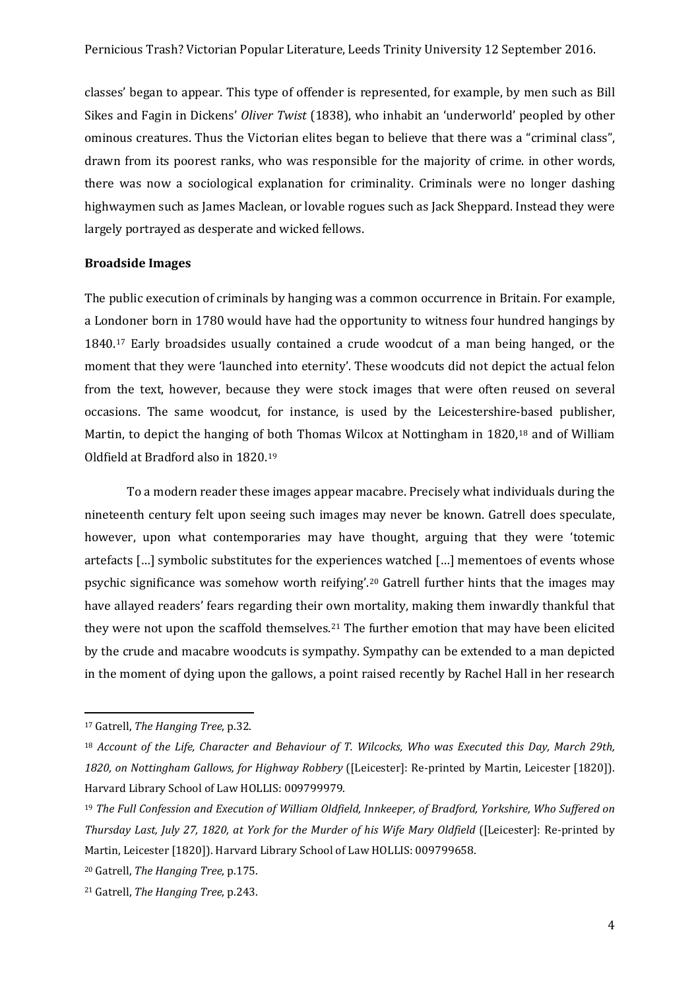classes' began to appear. This type of offender is represented, for example, by men such as Bill Sikes and Fagin in Dickens' *Oliver Twist* (1838), who inhabit an 'underworld' peopled by other ominous creatures. Thus the Victorian elites began to believe that there was a "criminal class", drawn from its poorest ranks, who was responsible for the majority of crime. in other words, there was now a sociological explanation for criminality. Criminals were no longer dashing highwaymen such as James Maclean, or lovable rogues such as Jack Sheppard. Instead they were largely portrayed as desperate and wicked fellows.

### **Broadside Images**

The public execution of criminals by hanging was a common occurrence in Britain. For example, a Londoner born in 1780 would have had the opportunity to witness four hundred hangings by 1840.[17](#page-3-0) Early broadsides usually contained a crude woodcut of a man being hanged, or the moment that they were 'launched into eternity'. These woodcuts did not depict the actual felon from the text, however, because they were stock images that were often reused on several occasions. The same woodcut, for instance, is used by the Leicestershire-based publisher, Martin, to depict the hanging of both Thomas Wilcox at Nottingham in 1820,[18](#page-3-1) and of William Oldfield at Bradford also in 1820.[19](#page-3-2)

To a modern reader these images appear macabre. Precisely what individuals during the nineteenth century felt upon seeing such images may never be known. Gatrell does speculate, however, upon what contemporaries may have thought, arguing that they were 'totemic artefacts […] symbolic substitutes for the experiences watched […] mementoes of events whose psychic significance was somehow worth reifying'.[20](#page-3-3) Gatrell further hints that the images may have allayed readers' fears regarding their own mortality, making them inwardly thankful that they were not upon the scaffold themselves.<sup>[21](#page-3-4)</sup> The further emotion that may have been elicited by the crude and macabre woodcuts is sympathy. Sympathy can be extended to a man depicted in the moment of dying upon the gallows, a point raised recently by Rachel Hall in her research

<span id="page-3-0"></span><sup>17</sup> Gatrell, *The Hanging Tree*, p.32.

<span id="page-3-1"></span><sup>18</sup> *Account of the Life, Character and Behaviour of T. Wilcocks, Who was Executed this Day, March 29th, 1820, on Nottingham Gallows, for Highway Robbery* ([Leicester]: Re-printed by Martin, Leicester [1820]). Harvard Library School of Law HOLLIS: 009799979.

<span id="page-3-2"></span><sup>19</sup> *The Full Confession and Execution of William Oldfield, Innkeeper, of Bradford, Yorkshire, Who Suffered on Thursday Last, July 27, 1820, at York for the Murder of his Wife Mary Oldfield* ([Leicester]: Re-printed by Martin, Leicester [1820]). Harvard Library School of Law HOLLIS: 009799658.

<span id="page-3-3"></span><sup>20</sup> Gatrell, *The Hanging Tree*, p.175.

<span id="page-3-4"></span><sup>21</sup> Gatrell, *The Hanging Tree*, p.243.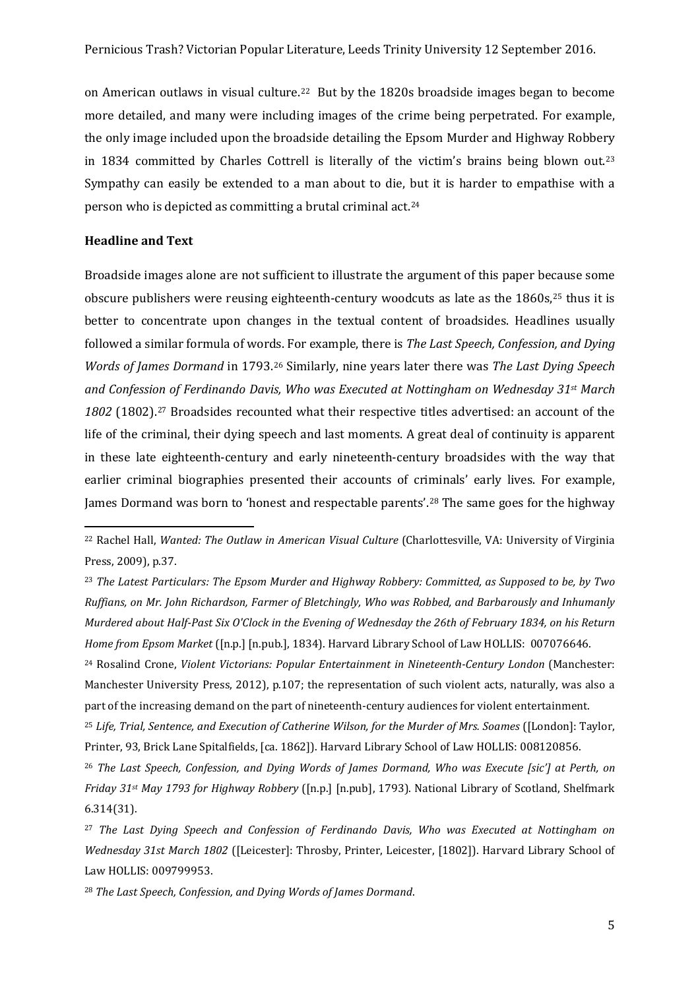on American outlaws in visual culture.<sup>22</sup> But by the 1820s broadside images began to become more detailed, and many were including images of the crime being perpetrated. For example, the only image included upon the broadside detailing the Epsom Murder and Highway Robbery in 1834 committed by Charles Cottrell is literally of the victim's brains being blown out.[23](#page-4-1) Sympathy can easily be extended to a man about to die, but it is harder to empathise with a person who is depicted as committing a brutal criminal act.[24](#page-4-2)

### **Headline and Text**

 $\overline{a}$ 

Broadside images alone are not sufficient to illustrate the argument of this paper because some obscure publishers were reusing eighteenth-century woodcuts as late as the 1860s,<sup>[25](#page-4-3)</sup> thus it is better to concentrate upon changes in the textual content of broadsides. Headlines usually followed a similar formula of words. For example, there is *The Last Speech, Confession, and Dying Words of James Dormand* in 1793.[26](#page-4-4) Similarly, nine years later there was *The Last Dying Speech and Confession of Ferdinando Davis, Who was Executed at Nottingham on Wednesday 31st March*  1802 (1802).<sup>[27](#page-4-5)</sup> Broadsides recounted what their respective titles advertised: an account of the life of the criminal, their dying speech and last moments. A great deal of continuity is apparent in these late eighteenth-century and early nineteenth-century broadsides with the way that earlier criminal biographies presented their accounts of criminals' early lives. For example, James Dormand was born to 'honest and respectable parents'.[28](#page-4-6) The same goes for the highway

<span id="page-4-0"></span><sup>22</sup> Rachel Hall, *Wanted: The Outlaw in American Visual Culture* (Charlottesville, VA: University of Virginia Press, 2009), p.37.

<span id="page-4-1"></span><sup>23</sup> *The Latest Particulars: The Epsom Murder and Highway Robbery: Committed, as Supposed to be, by Two Ruffians, on Mr. John Richardson, Farmer of Bletchingly, Who was Robbed, and Barbarously and Inhumanly Murdered about Half-Past Six O'Clock in the Evening of Wednesday the 26th of February 1834, on his Return Home from Epsom Market* ([n.p.] [n.pub.], 1834). Harvard Library School of Law HOLLIS: 007076646.

<span id="page-4-2"></span><sup>24</sup> Rosalind Crone, *Violent Victorians: Popular Entertainment in Nineteenth-Century London* (Manchester: Manchester University Press, 2012), p.107; the representation of such violent acts, naturally, was also a part of the increasing demand on the part of nineteenth-century audiences for violent entertainment.

<span id="page-4-3"></span><sup>&</sup>lt;sup>25</sup> Life, Trial, Sentence, and Execution of Catherine Wilson, for the Murder of Mrs. Soames ([London]: Taylor, Printer, 93, Brick Lane Spitalfields, [ca. 1862]). Harvard Library School of Law HOLLIS: 008120856.

<span id="page-4-4"></span><sup>26</sup> *The Last Speech, Confession, and Dying Words of James Dormand, Who was Execute [sic'] at Perth, on Friday 31st May 1793 for Highway Robbery* ([n.p.] [n.pub], 1793). National Library of Scotland, Shelfmark 6.314(31).

<span id="page-4-5"></span><sup>27</sup> *The Last Dying Speech and Confession of Ferdinando Davis, Who was Executed at Nottingham on Wednesday 31st March 1802* ([Leicester]: Throsby, Printer, Leicester, [1802]). Harvard Library School of Law HOLLIS: 009799953.

<span id="page-4-6"></span><sup>28</sup> *The Last Speech, Confession, and Dying Words of James Dormand*.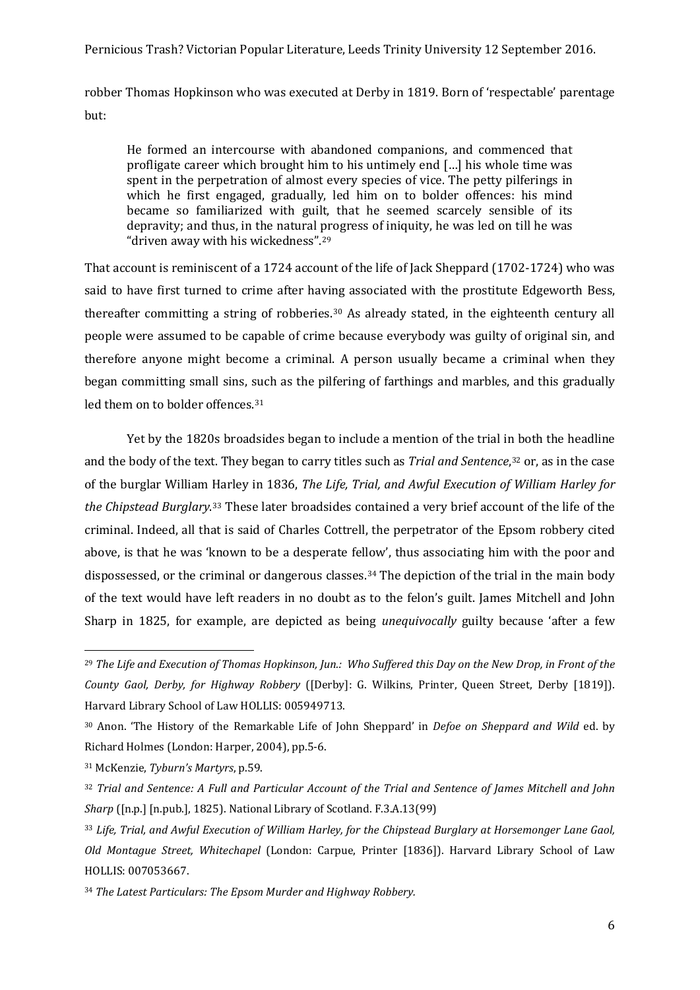# Pernicious Trash? Victorian Popular Literature, Leeds Trinity University 12 September 2016.

robber Thomas Hopkinson who was executed at Derby in 1819. Born of 'respectable' parentage but:

He formed an intercourse with abandoned companions, and commenced that profligate career which brought him to his untimely end […] his whole time was spent in the perpetration of almost every species of vice. The petty pilferings in which he first engaged, gradually, led him on to bolder offences: his mind became so familiarized with guilt, that he seemed scarcely sensible of its depravity; and thus, in the natural progress of iniquity, he was led on till he was "driven away with his wickedness".[29](#page-5-0)

That account is reminiscent of a 1724 account of the life of Jack Sheppard (1702-1724) who was said to have first turned to crime after having associated with the prostitute Edgeworth Bess, thereafter committing a string of robberies.[30](#page-5-1) As already stated, in the eighteenth century all people were assumed to be capable of crime because everybody was guilty of original sin, and therefore anyone might become a criminal. A person usually became a criminal when they began committing small sins, such as the pilfering of farthings and marbles, and this gradually led them on to bolder offences.<sup>[31](#page-5-2)</sup>

Yet by the 1820s broadsides began to include a mention of the trial in both the headline and the body of the text. They began to carry titles such as *Trial and Sentence*,[32](#page-5-3) or, as in the case of the burglar William Harley in 1836, *The Life, Trial, and Awful Execution of William Harley for the Chipstead Burglary*.[33](#page-5-4) These later broadsides contained a very brief account of the life of the criminal. Indeed, all that is said of Charles Cottrell, the perpetrator of the Epsom robbery cited above, is that he was 'known to be a desperate fellow', thus associating him with the poor and dispossessed, or the criminal or dangerous classes.[34](#page-5-5) The depiction of the trial in the main body of the text would have left readers in no doubt as to the felon's guilt. James Mitchell and John Sharp in 1825, for example, are depicted as being *unequivocally* guilty because 'after a few

<span id="page-5-0"></span><sup>29</sup> *The Life and Execution of Thomas Hopkinson, Jun.: Who Suffered this Day on the New Drop, in Front of the County Gaol, Derby, for Highway Robbery* ([Derby]: G. Wilkins, Printer, Queen Street, Derby [1819]). Harvard Library School of Law HOLLIS: 005949713.

<span id="page-5-1"></span><sup>30</sup> Anon. 'The History of the Remarkable Life of John Sheppard' in *Defoe on Sheppard and Wild* ed. by Richard Holmes (London: Harper, 2004), pp.5-6.

<span id="page-5-2"></span><sup>31</sup> McKenzie, *Tyburn's Martyrs*, p.59.

<span id="page-5-3"></span><sup>32</sup> *Trial and Sentence: A Full and Particular Account of the Trial and Sentence of James Mitchell and John Sharp* ([n.p.] [n.pub.], 1825). National Library of Scotland. F.3.A.13(99)

<span id="page-5-4"></span><sup>33</sup> *Life, Trial, and Awful Execution of William Harley, for the Chipstead Burglary at Horsemonger Lane Gaol, Old Montague Street, Whitechapel* (London: Carpue, Printer [1836]). Harvard Library School of Law HOLLIS: 007053667.

<span id="page-5-5"></span><sup>34</sup> *The Latest Particulars: The Epsom Murder and Highway Robbery.*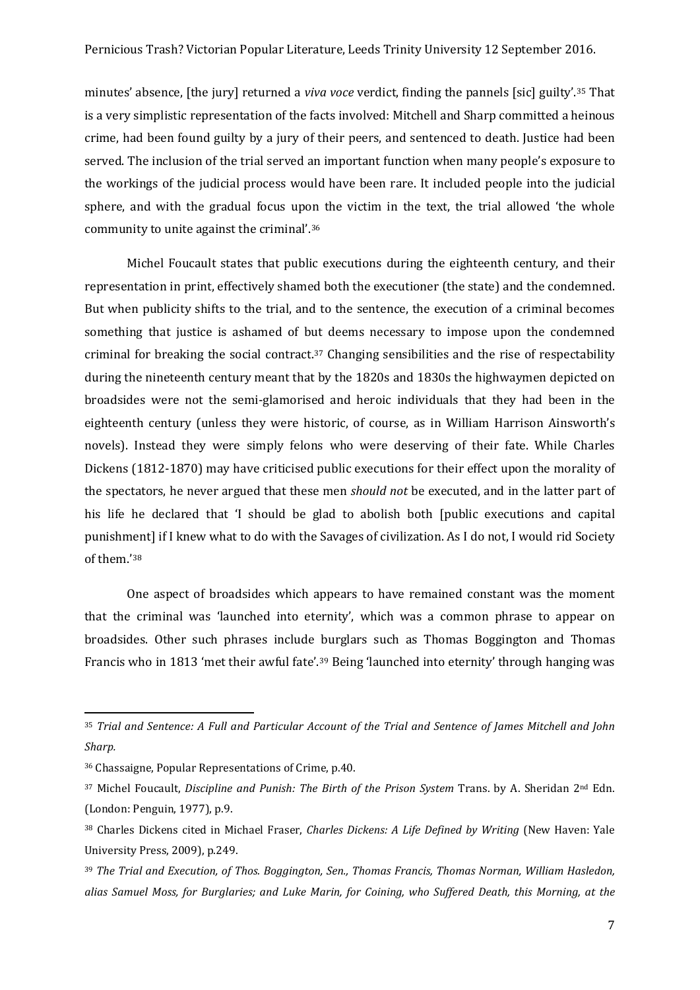minutes' absence, [the jury] returned a *viva voce* verdict, finding the pannels [sic] guilty'.[35](#page-6-0) That is a very simplistic representation of the facts involved: Mitchell and Sharp committed a heinous crime, had been found guilty by a jury of their peers, and sentenced to death. Justice had been served. The inclusion of the trial served an important function when many people's exposure to the workings of the judicial process would have been rare. It included people into the judicial sphere, and with the gradual focus upon the victim in the text, the trial allowed 'the whole community to unite against the criminal'.[36](#page-6-1)

Michel Foucault states that public executions during the eighteenth century, and their representation in print, effectively shamed both the executioner (the state) and the condemned. But when publicity shifts to the trial, and to the sentence, the execution of a criminal becomes something that justice is ashamed of but deems necessary to impose upon the condemned criminal for breaking the social contract.[37](#page-6-2) Changing sensibilities and the rise of respectability during the nineteenth century meant that by the 1820s and 1830s the highwaymen depicted on broadsides were not the semi-glamorised and heroic individuals that they had been in the eighteenth century (unless they were historic, of course, as in William Harrison Ainsworth's novels). Instead they were simply felons who were deserving of their fate. While Charles Dickens (1812-1870) may have criticised public executions for their effect upon the morality of the spectators, he never argued that these men *should not* be executed, and in the latter part of his life he declared that 'I should be glad to abolish both [public executions and capital punishment] if I knew what to do with the Savages of civilization. As I do not, I would rid Society of them.'[38](#page-6-3)

One aspect of broadsides which appears to have remained constant was the moment that the criminal was 'launched into eternity', which was a common phrase to appear on broadsides. Other such phrases include burglars such as Thomas Boggington and Thomas Francis who in 1813 'met their awful fate'.[39](#page-6-4) Being 'launched into eternity' through hanging was

<span id="page-6-0"></span><sup>35</sup> *Trial and Sentence: A Full and Particular Account of the Trial and Sentence of James Mitchell and John Sharp.*

<span id="page-6-1"></span><sup>36</sup> Chassaigne, Popular Representations of Crime, p.40.

<span id="page-6-2"></span><sup>37</sup> Michel Foucault, *Discipline and Punish: The Birth of the Prison System* Trans. by A. Sheridan 2nd Edn. (London: Penguin, 1977), p.9.

<span id="page-6-3"></span><sup>38</sup> Charles Dickens cited in Michael Fraser, *Charles Dickens: A Life Defined by Writing* (New Haven: Yale University Press, 2009), p.249.

<span id="page-6-4"></span><sup>39</sup> *The Trial and Execution, of Thos. Boggington, Sen., Thomas Francis, Thomas Norman, William Hasledon, alias Samuel Moss, for Burglaries; and Luke Marin, for Coining, who Suffered Death, this Morning, at the*